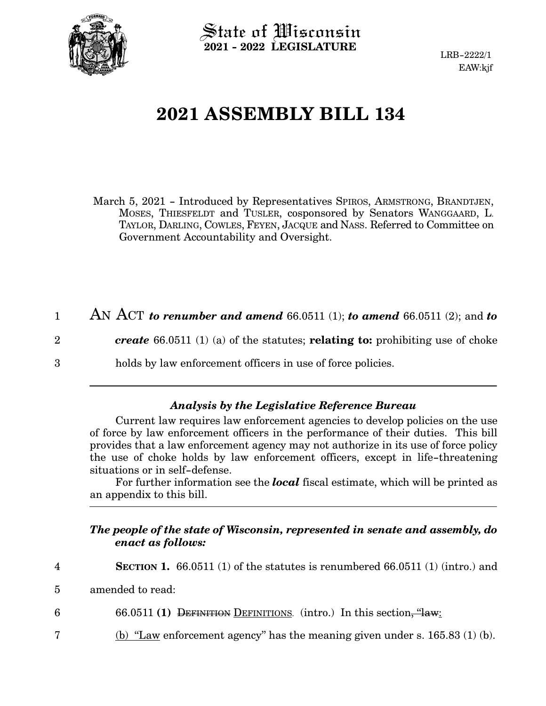

 $\operatorname{\mathsf{State}}$  of Wisconsin **2021 - 2022 LEGISLATURE**

LRB-2222/1 EAW:kjf

## **2021 ASSEMBLY BILL 134**

March 5, 2021 - Introduced by Representatives SPIROS, ARMSTRONG, BRANDTJEN, MOSES, THIESFELDT and TUSLER, cosponsored by Senators WANGGAARD, L. TAYLOR, DARLING, COWLES, FEYEN, JACQUE and NASS. Referred to Committee on Government Accountability and Oversight.

AN ACT *to renumber and amend* 66.0511 (1); *to amend* 66.0511 (2); and *to create* 66.0511 (1) (a) of the statutes; **relating to:** prohibiting use of choke holds by law enforcement officers in use of force policies. 1 2 3

## *Analysis by the Legislative Reference Bureau*

Current law requires law enforcement agencies to develop policies on the use of force by law enforcement officers in the performance of their duties. This bill provides that a law enforcement agency may not authorize in its use of force policy the use of choke holds by law enforcement officers, except in life-threatening situations or in self-defense.

For further information see the *local* fiscal estimate, which will be printed as an appendix to this bill.

## *The people of the state of Wisconsin, represented in senate and assembly, do enact as follows:*

**SECTION 1.** 66.0511 (1) of the statutes is renumbered 66.0511 (1) (intro.) and 4

amended to read: 5

66.0511 **(1)** DEFINITION DEFINITIONS. (intro.) In this section, "law: 6

(b) "Law enforcement agency" has the meaning given under s.  $165.83$  (1) (b). 7